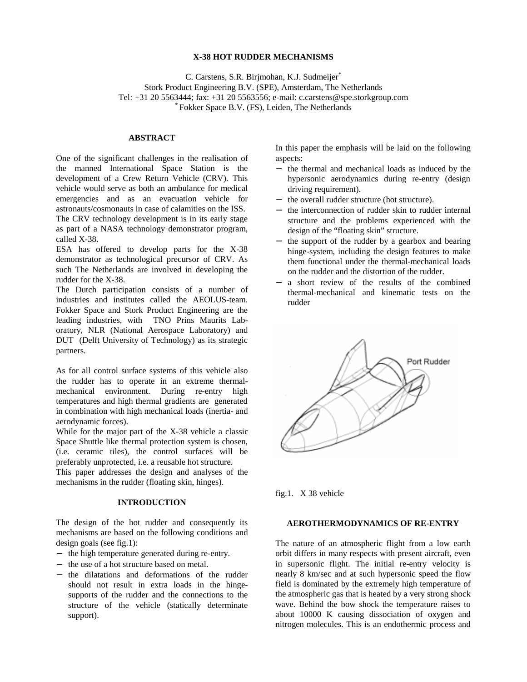### **X-38 HOT RUDDER MECHANISMS**

C. Carstens, S.R. Birjmohan, K.J. Sudmeijer\* Stork Product Engineering B.V. (SPE), Amsterdam, The Netherlands Tel: +31 20 5563444; fax: +31 20 5563556; e-mail: c.carstens@spe.storkgroup.com \* Fokker Space B.V. (FS), Leiden, The Netherlands

# **ABSTRACT**

One of the significant challenges in the realisation of the manned International Space Station is the development of a Crew Return Vehicle (CRV). This vehicle would serve as both an ambulance for medical emergencies and as an evacuation vehicle for astronauts/cosmonauts in case of calamities on the ISS. The CRV technology development is in its early stage as part of a NASA technology demonstrator program, called X-38.

ESA has offered to develop parts for the X-38 demonstrator as technological precursor of CRV. As such The Netherlands are involved in developing the rudder for the X-38.

The Dutch participation consists of a number of industries and institutes called the AEOLUS-team. Fokker Space and Stork Product Engineering are the leading industries, with TNO Prins Maurits Laboratory, NLR (National Aerospace Laboratory) and DUT (Delft University of Technology) as its strategic partners.

As for all control surface systems of this vehicle also the rudder has to operate in an extreme thermalmechanical environment. During re-entry high temperatures and high thermal gradients are generated in combination with high mechanical loads (inertia- and aerodynamic forces).

While for the major part of the X-38 vehicle a classic Space Shuttle like thermal protection system is chosen, (i.e. ceramic tiles), the control surfaces will be preferably unprotected, i.e. a reusable hot structure.

This paper addresses the design and analyses of the mechanisms in the rudder (floating skin, hinges).

### **INTRODUCTION**

The design of the hot rudder and consequently its mechanisms are based on the following conditions and design goals (see fig.1):

- − the high temperature generated during re-entry.
- − the use of a hot structure based on metal.
- − the dilatations and deformations of the rudder should not result in extra loads in the hingesupports of the rudder and the connections to the structure of the vehicle (statically determinate support).

In this paper the emphasis will be laid on the following aspects:

- − the thermal and mechanical loads as induced by the hypersonic aerodynamics during re-entry (design driving requirement).
- − the overall rudder structure (hot structure).
- − the interconnection of rudder skin to rudder internal structure and the problems experienced with the design of the "floating skin" structure.
- − the support of the rudder by a gearbox and bearing hinge-system, including the design features to make them functional under the thermal-mechanical loads on the rudder and the distortion of the rudder.
- − a short review of the results of the combined thermal-mechanical and kinematic tests on the rudder



fig.1. X 38 vehicle

## **AEROTHERMODYNAMICS OF RE-ENTRY**

The nature of an atmospheric flight from a low earth orbit differs in many respects with present aircraft, even in supersonic flight. The initial re-entry velocity is nearly 8 km/sec and at such hypersonic speed the flow field is dominated by the extremely high temperature of the atmospheric gas that is heated by a very strong shock wave. Behind the bow shock the temperature raises to about 10000 K causing dissociation of oxygen and nitrogen molecules. This is an endothermic process and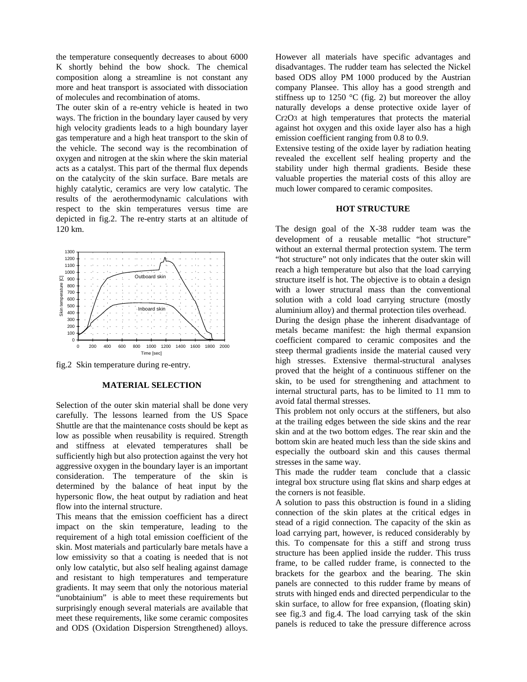the temperature consequently decreases to about 6000 K shortly behind the bow shock. The chemical composition along a streamline is not constant any more and heat transport is associated with dissociation of molecules and recombination of atoms.

The outer skin of a re-entry vehicle is heated in two ways. The friction in the boundary layer caused by very high velocity gradients leads to a high boundary layer gas temperature and a high heat transport to the skin of the vehicle. The second way is the recombination of oxygen and nitrogen at the skin where the skin material acts as a catalyst. This part of the thermal flux depends on the catalycity of the skin surface. Bare metals are highly catalytic, ceramics are very low catalytic. The results of the aerothermodynamic calculations with respect to the skin temperatures versus time are depicted in fig.2. The re-entry starts at an altitude of 120 km.



fig.2 Skin temperature during re-entry.

#### **MATERIAL SELECTION**

Selection of the outer skin material shall be done very carefully. The lessons learned from the US Space Shuttle are that the maintenance costs should be kept as low as possible when reusability is required. Strength and stiffness at elevated temperatures shall be sufficiently high but also protection against the very hot aggressive oxygen in the boundary layer is an important consideration. The temperature of the skin is determined by the balance of heat input by the hypersonic flow, the heat output by radiation and heat flow into the internal structure.

This means that the emission coefficient has a direct impact on the skin temperature, leading to the requirement of a high total emission coefficient of the skin. Most materials and particularly bare metals have a low emissivity so that a coating is needed that is not only low catalytic, but also self healing against damage and resistant to high temperatures and temperature gradients. It may seem that only the notorious material "unobtainium" is able to meet these requirements but surprisingly enough several materials are available that meet these requirements, like some ceramic composites and ODS (Oxidation Dispersion Strengthened) alloys.

However all materials have specific advantages and disadvantages. The rudder team has selected the Nickel based ODS alloy PM 1000 produced by the Austrian company Plansee. This alloy has a good strength and stiffness up to 1250  $\degree$ C (fig. 2) but moreover the alloy naturally develops a dense protective oxide layer of Cr2O3 at high temperatures that protects the material against hot oxygen and this oxide layer also has a high emission coefficient ranging from 0.8 to 0.9.

Extensive testing of the oxide layer by radiation heating revealed the excellent self healing property and the stability under high thermal gradients. Beside these valuable properties the material costs of this alloy are much lower compared to ceramic composites.

#### **HOT STRUCTURE**

The design goal of the X-38 rudder team was the development of a reusable metallic "hot structure" without an external thermal protection system. The term "hot structure" not only indicates that the outer skin will reach a high temperature but also that the load carrying structure itself is hot. The objective is to obtain a design with a lower structural mass than the conventional solution with a cold load carrying structure (mostly aluminium alloy) and thermal protection tiles overhead. During the design phase the inherent disadvantage of metals became manifest: the high thermal expansion coefficient compared to ceramic composites and the steep thermal gradients inside the material caused very high stresses. Extensive thermal-structural analyses proved that the height of a continuous stiffener on the skin, to be used for strengthening and attachment to internal structural parts, has to be limited to 11 mm to avoid fatal thermal stresses.

This problem not only occurs at the stiffeners, but also at the trailing edges between the side skins and the rear skin and at the two bottom edges. The rear skin and the bottom skin are heated much less than the side skins and especially the outboard skin and this causes thermal stresses in the same way.

This made the rudder team conclude that a classic integral box structure using flat skins and sharp edges at the corners is not feasible.

A solution to pass this obstruction is found in a sliding connection of the skin plates at the critical edges in stead of a rigid connection. The capacity of the skin as load carrying part, however, is reduced considerably by this. To compensate for this a stiff and strong truss structure has been applied inside the rudder. This truss frame, to be called rudder frame, is connected to the brackets for the gearbox and the bearing. The skin panels are connected to this rudder frame by means of struts with hinged ends and directed perpendicular to the skin surface, to allow for free expansion, (floating skin) see fig.3 and fig.4. The load carrying task of the skin panels is reduced to take the pressure difference across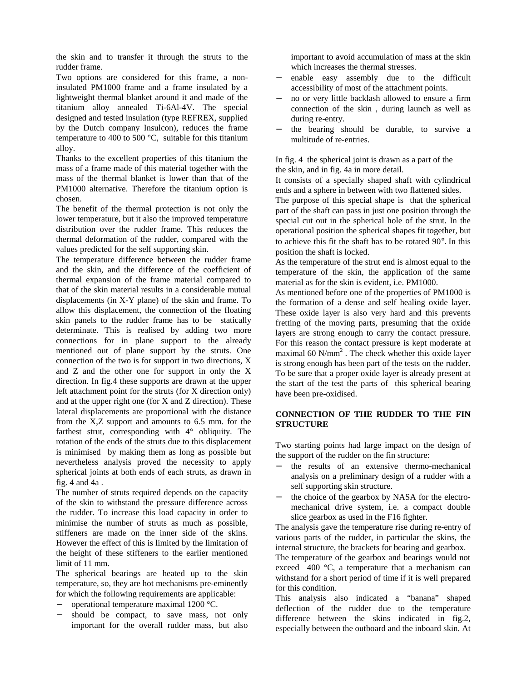the skin and to transfer it through the struts to the rudder frame.

Two options are considered for this frame, a noninsulated PM1000 frame and a frame insulated by a lightweight thermal blanket around it and made of the titanium alloy annealed Ti-6Al-4V. The special designed and tested insulation (type REFREX, supplied by the Dutch company Insulcon), reduces the frame temperature to 400 to 500 °C, suitable for this titanium alloy.

Thanks to the excellent properties of this titanium the mass of a frame made of this material together with the mass of the thermal blanket is lower than that of the PM1000 alternative. Therefore the titanium option is chosen.

The benefit of the thermal protection is not only the lower temperature, but it also the improved temperature distribution over the rudder frame. This reduces the thermal deformation of the rudder, compared with the values predicted for the self supporting skin.

The temperature difference between the rudder frame and the skin, and the difference of the coefficient of thermal expansion of the frame material compared to that of the skin material results in a considerable mutual displacements (in X-Y plane) of the skin and frame. To allow this displacement, the connection of the floating skin panels to the rudder frame has to be statically determinate. This is realised by adding two more connections for in plane support to the already mentioned out of plane support by the struts. One connection of the two is for support in two directions, X and Z and the other one for support in only the X direction. In fig.4 these supports are drawn at the upper left attachment point for the struts (for X direction only) and at the upper right one (for X and Z direction). These lateral displacements are proportional with the distance from the X,Z support and amounts to 6.5 mm. for the farthest strut, corresponding with 4° obliquity. The rotation of the ends of the struts due to this displacement is minimised by making them as long as possible but nevertheless analysis proved the necessity to apply spherical joints at both ends of each struts, as drawn in fig. 4 and 4a .

The number of struts required depends on the capacity of the skin to withstand the pressure difference across the rudder. To increase this load capacity in order to minimise the number of struts as much as possible, stiffeners are made on the inner side of the skins. However the effect of this is limited by the limitation of the height of these stiffeners to the earlier mentioned limit of 11 mm.

The spherical bearings are heated up to the skin temperature, so, they are hot mechanisms pre-eminently for which the following requirements are applicable:

- − operational temperature maximal 1200 °C.
- should be compact, to save mass, not only important for the overall rudder mass, but also

important to avoid accumulation of mass at the skin which increases the thermal stresses.

- enable easy assembly due to the difficult accessibility of most of the attachment points.
- no or very little backlash allowed to ensure a firm connection of the skin , during launch as well as during re-entry.
- − the bearing should be durable, to survive a multitude of re-entries.

In fig. 4 the spherical joint is drawn as a part of the the skin, and in fig. 4a in more detail.

It consists of a specially shaped shaft with cylindrical ends and a sphere in between with two flattened sides.

The purpose of this special shape is that the spherical part of the shaft can pass in just one position through the special cut out in the spherical hole of the strut. In the operational position the spherical shapes fit together, but to achieve this fit the shaft has to be rotated 90°. In this position the shaft is locked.

As the temperature of the strut end is almost equal to the temperature of the skin, the application of the same material as for the skin is evident, i.e. PM1000.

As mentioned before one of the properties of PM1000 is the formation of a dense and self healing oxide layer. These oxide layer is also very hard and this prevents fretting of the moving parts, presuming that the oxide layers are strong enough to carry the contact pressure. For this reason the contact pressure is kept moderate at maximal 60  $N/mm^2$ . The check whether this oxide layer is strong enough has been part of the tests on the rudder. To be sure that a proper oxide layer is already present at the start of the test the parts of this spherical bearing have been pre-oxidised.

# **CONNECTION OF THE RUDDER TO THE FIN STRUCTURE**

Two starting points had large impact on the design of the support of the rudder on the fin structure:

- − the results of an extensive thermo-mechanical analysis on a preliminary design of a rudder with a self supporting skin structure.
- − the choice of the gearbox by NASA for the electromechanical drive system, i.e. a compact double slice gearbox as used in the F16 fighter.

The analysis gave the temperature rise during re-entry of various parts of the rudder, in particular the skins, the internal structure, the brackets for bearing and gearbox.

The temperature of the gearbox and bearings would not exceed 400 °C, a temperature that a mechanism can withstand for a short period of time if it is well prepared for this condition.

This analysis also indicated a "banana" shaped deflection of the rudder due to the temperature difference between the skins indicated in fig.2, especially between the outboard and the inboard skin. At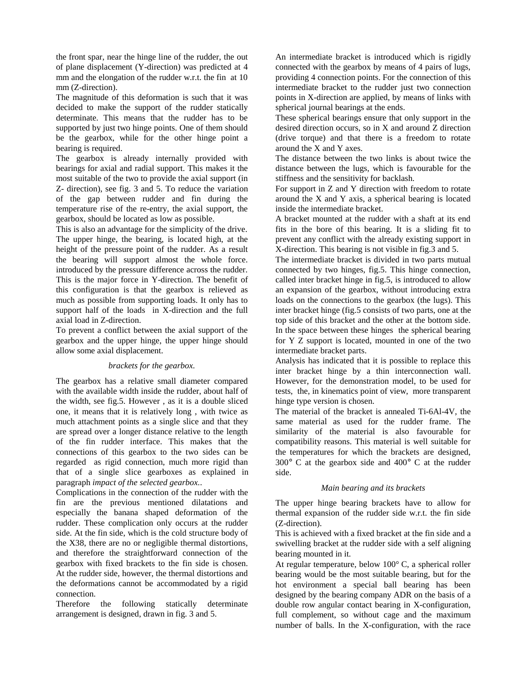the front spar, near the hinge line of the rudder, the out of plane displacement (Y-direction) was predicted at 4 mm and the elongation of the rudder w.r.t. the fin at 10 mm (Z-direction).

The magnitude of this deformation is such that it was decided to make the support of the rudder statically determinate. This means that the rudder has to be supported by just two hinge points. One of them should be the gearbox, while for the other hinge point a bearing is required.

The gearbox is already internally provided with bearings for axial and radial support. This makes it the most suitable of the two to provide the axial support (in Z- direction), see fig. 3 and 5. To reduce the variation of the gap between rudder and fin during the temperature rise of the re-entry, the axial support, the gearbox, should be located as low as possible.

This is also an advantage for the simplicity of the drive. The upper hinge, the bearing, is located high, at the height of the pressure point of the rudder. As a result the bearing will support almost the whole force. introduced by the pressure difference across the rudder. This is the major force in Y-direction. The benefit of this configuration is that the gearbox is relieved as much as possible from supporting loads. It only has to support half of the loads in X-direction and the full axial load in Z-direction.

To prevent a conflict between the axial support of the gearbox and the upper hinge, the upper hinge should allow some axial displacement.

### *brackets for the gearbox.*

The gearbox has a relative small diameter compared with the available width inside the rudder, about half of the width, see fig.5. However , as it is a double sliced one, it means that it is relatively long , with twice as much attachment points as a single slice and that they are spread over a longer distance relative to the length of the fin rudder interface. This makes that the connections of this gearbox to the two sides can be regarded as rigid connection, much more rigid than that of a single slice gearboxes as explained in paragraph *impact of the selected gearbox.*.

Complications in the connection of the rudder with the fin are the previous mentioned dilatations and especially the banana shaped deformation of the rudder. These complication only occurs at the rudder side. At the fin side, which is the cold structure body of the X38, there are no or negligible thermal distortions, and therefore the straightforward connection of the gearbox with fixed brackets to the fin side is chosen. At the rudder side, however, the thermal distortions and the deformations cannot be accommodated by a rigid connection.

Therefore the following statically determinate arrangement is designed, drawn in fig. 3 and 5.

An intermediate bracket is introduced which is rigidly connected with the gearbox by means of 4 pairs of lugs, providing 4 connection points. For the connection of this intermediate bracket to the rudder just two connection points in X-direction are applied, by means of links with spherical journal bearings at the ends.

These spherical bearings ensure that only support in the desired direction occurs, so in X and around Z direction (drive torque) and that there is a freedom to rotate around the X and Y axes.

The distance between the two links is about twice the distance between the lugs, which is favourable for the stiffness and the sensitivity for backlash.

For support in Z and Y direction with freedom to rotate around the X and Y axis, a spherical bearing is located inside the intermediate bracket.

A bracket mounted at the rudder with a shaft at its end fits in the bore of this bearing. It is a sliding fit to prevent any conflict with the already existing support in X-direction. This bearing is not visible in fig.3 and 5.

The intermediate bracket is divided in two parts mutual connected by two hinges, fig.5. This hinge connection, called inter bracket hinge in fig.5, is introduced to allow an expansion of the gearbox, without introducing extra loads on the connections to the gearbox (the lugs). This inter bracket hinge (fig.5 consists of two parts, one at the top side of this bracket and the other at the bottom side. In the space between these hinges the spherical bearing for Y Z support is located, mounted in one of the two intermediate bracket parts.

Analysis has indicated that it is possible to replace this inter bracket hinge by a thin interconnection wall. However, for the demonstration model, to be used for tests, the, in kinematics point of view, more transparent hinge type version is chosen.

The material of the bracket is annealed Ti-6Al-4V, the same material as used for the rudder frame. The similarity of the material is also favourable for compatibility reasons. This material is well suitable for the temperatures for which the brackets are designed,  $300^{\circ}$  C at the gearbox side and  $400^{\circ}$  C at the rudder side.

### *Main bearing and its brackets*

The upper hinge bearing brackets have to allow for thermal expansion of the rudder side w.r.t. the fin side (Z-direction).

This is achieved with a fixed bracket at the fin side and a swivelling bracket at the rudder side with a self aligning bearing mounted in it.

At regular temperature, below 100° C, a spherical roller bearing would be the most suitable bearing, but for the hot environment a special ball bearing has been designed by the bearing company ADR on the basis of a double row angular contact bearing in X-configuration, full complement, so without cage and the maximum number of balls. In the X-configuration, with the race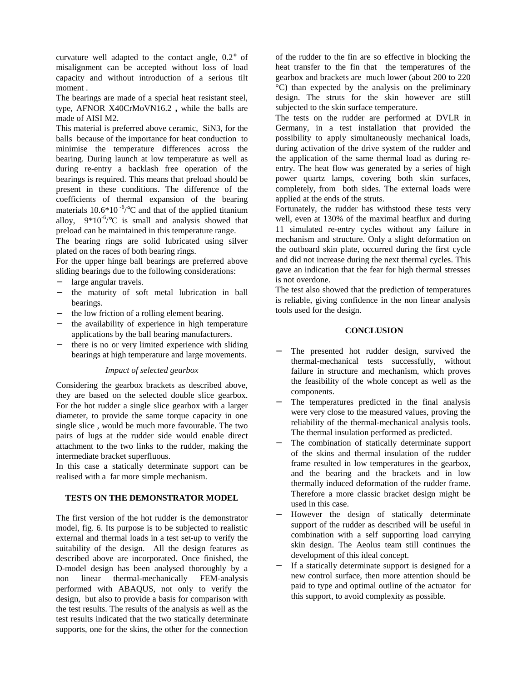curvature well adapted to the contact angle, 0.2° of misalignment can be accepted without loss of load capacity and without introduction of a serious tilt moment .

The bearings are made of a special heat resistant steel, type, AFNOR X40CrMoVN16.2 **,** while the balls are made of AISI M2.

This material is preferred above ceramic, SiN3, for the balls because of the importance for heat conduction to minimise the temperature differences across the bearing. During launch at low temperature as well as during re-entry a backlash free operation of the bearings is required. This means that preload should be present in these conditions. The difference of the coefficients of thermal expansion of the bearing materials  $10.6*10^{-6}/^{\circ}$ C and that of the applied titanium alloy,  $9*10^{-6}\degree$ C is small and analysis showed that preload can be maintained in this temperature range.

The bearing rings are solid lubricated using silver plated on the races of both bearing rings.

For the upper hinge ball bearings are preferred above sliding bearings due to the following considerations:

- large angular travels.
- the maturity of soft metal lubrication in ball bearings.
- the low friction of a rolling element bearing.
- the availability of experience in high temperature applications by the ball bearing manufacturers.
- there is no or very limited experience with sliding bearings at high temperature and large movements.

### *Impact of selected gearbox*

Considering the gearbox brackets as described above, they are based on the selected double slice gearbox. For the hot rudder a single slice gearbox with a larger diameter, to provide the same torque capacity in one single slice , would be much more favourable. The two pairs of lugs at the rudder side would enable direct attachment to the two links to the rudder, making the intermediate bracket superfluous.

In this case a statically determinate support can be realised with a far more simple mechanism.

### **TESTS ON THE DEMONSTRATOR MODEL**

The first version of the hot rudder is the demonstrator model, fig. 6. Its purpose is to be subjected to realistic external and thermal loads in a test set-up to verify the suitability of the design. All the design features as described above are incorporated. Once finished, the D-model design has been analysed thoroughly by a non linear thermal-mechanically FEM-analysis performed with ABAQUS, not only to verify the design, but also to provide a basis for comparison with the test results. The results of the analysis as well as the test results indicated that the two statically determinate supports, one for the skins, the other for the connection

of the rudder to the fin are so effective in blocking the heat transfer to the fin that the temperatures of the gearbox and brackets are much lower (about 200 to 220 °C) than expected by the analysis on the preliminary design. The struts for the skin however are still subjected to the skin surface temperature.

The tests on the rudder are performed at DVLR in Germany, in a test installation that provided the possibility to apply simultaneously mechanical loads, during activation of the drive system of the rudder and the application of the same thermal load as during reentry. The heat flow was generated by a series of high power quartz lamps, covering both skin surfaces, completely, from both sides. The external loads were applied at the ends of the struts.

Fortunately, the rudder has withstood these tests very well, even at 130% of the maximal heatflux and during 11 simulated re-entry cycles without any failure in mechanism and structure. Only a slight deformation on the outboard skin plate, occurred during the first cycle and did not increase during the next thermal cycles. This gave an indication that the fear for high thermal stresses is not overdone.

The test also showed that the prediction of temperatures is reliable, giving confidence in the non linear analysis tools used for the design.

#### **CONCLUSION**

- The presented hot rudder design, survived the thermal-mechanical tests successfully, without failure in structure and mechanism, which proves the feasibility of the whole concept as well as the components.
- − The temperatures predicted in the final analysis were very close to the measured values, proving the reliability of the thermal-mechanical analysis tools. The thermal insulation performed as predicted.
- The combination of statically determinate support of the skins and thermal insulation of the rudder frame resulted in low temperatures in the gearbox, and the bearing and the brackets and in low thermally induced deformation of the rudder frame. Therefore a more classic bracket design might be used in this case.
- However the design of statically determinate support of the rudder as described will be useful in combination with a self supporting load carrying skin design. The Aeolus team still continues the development of this ideal concept.
- − If a statically determinate support is designed for a new control surface, then more attention should be paid to type and optimal outline of the actuator for this support, to avoid complexity as possible.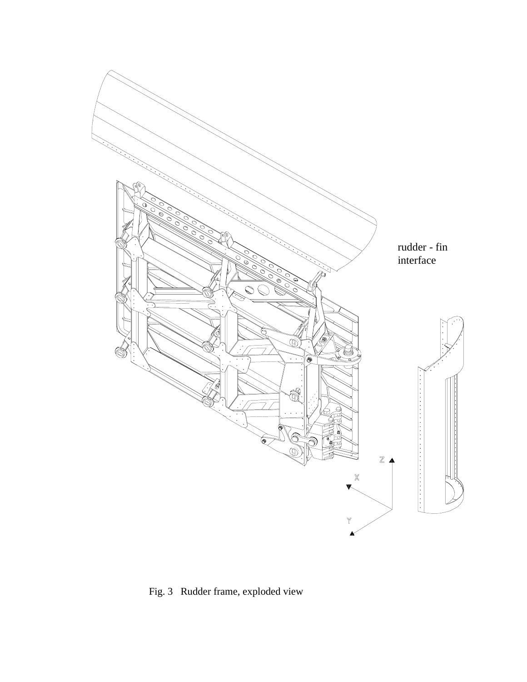

Fig. 3 Rudder frame, exploded view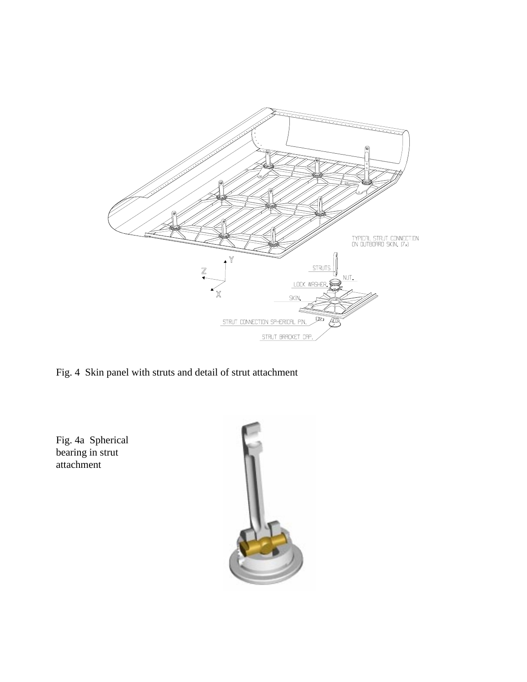

Fig. 4 Skin panel with struts and detail of strut attachment

Fig. 4a Spherical bearing in strut attachment